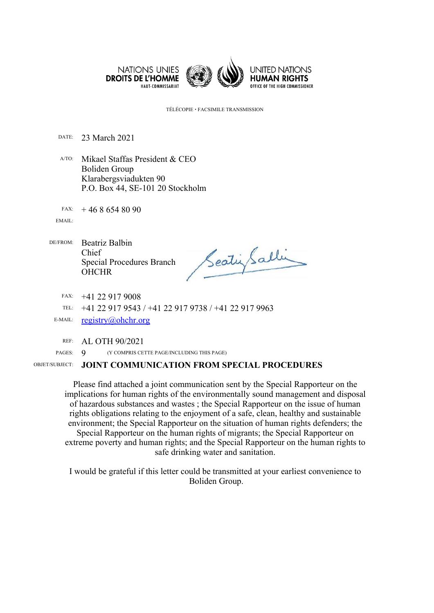

TÉLÉCOPIE FACSIMILE TRANSMISSION

DATE: 23 March 2021

A/TO: Mikael Staffas President & CEO Boliden Group Klarabergsviadukten 90 P.O. Box 44, SE-101 20 Stockholm

FAX: 46 8 654 80 90

EMAIL:

DE/FROM: Beatriz Balbin Chief Special Procedures Branch **OHCHR** 

SeatinGalli

FAX: +41 22 917 9008

TEL: +41 22 917 9543 / +41 22 917 9738 / +41 22 917 9963

E-MAIL: reg[istry@ohchr.org](mailto:registry@ohchr.org)

REF: AL OTH 90/2021

PAGES: 9 (Y COMPRIS CETTE PAGE/INCLUDING THIS PAGE)

## OBJET/SUBJECT: **JOINT COMMUNICATION FROM SPECIAL PROCEDURES**

Please find attached <sup>a</sup> joint communication sent by the Special Rapporteur on the implications for human rights of the environmentally sound managemen<sup>t</sup> and disposal of hazardous substances and wastes ; the Special Rapporteur on the issue of human rights obligations relating to the enjoyment of <sup>a</sup> safe, clean, healthy and sustainable environment; the Special Rapporteur on the situation of human rights defenders; the Special Rapporteur on the human rights of migrants; the Special Rapporteur on extreme poverty and human rights; and the Special Rapporteur on the human rights to safe drinking water and sanitation.

I would be grateful if this letter could be transmitted at your earliest convenience to Boliden Group.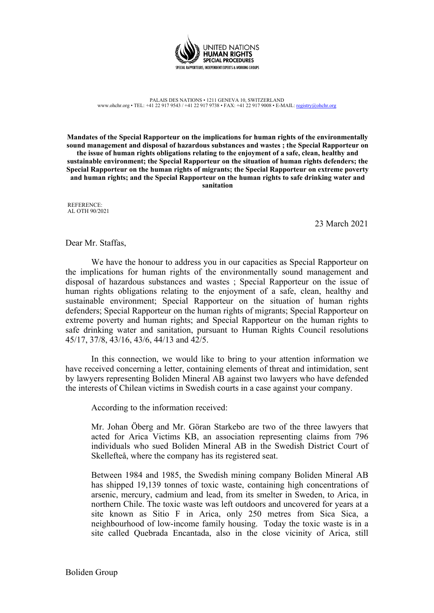

PALAIS DES NATIONS • 1211 GENEVA 10, SWITZERLAND www.ohchr.org • TEL: +41 22 917 9543 / +41 22 917 9738 • FAX: +41 22 917 9008 • E-MAIL: reg[istry@ohchr.org](mailto:registry@ohchr.org)

**Mandates of the Special Rapporteur on the implications for human rights of the environmentally sound management and disposal of hazardous substances and wastes ; the Special Rapporteur on the issue of human rights obligations relating to the enjoyment of <sup>a</sup> safe, clean, healthy and sustainable environment; the Special Rapporteur on the situation of human rights defenders; the Special Rapporteur on the human rights of migrants; the Special Rapporteur on extreme poverty and human rights; and the Special Rapporteur on the human rights to safe drinking water and sanitation**

REFERENCE: AL OTH 90/2021

23 March 2021

Dear Mr. Staffas,

We have the honour to address you in our capacities as Special Rapporteur on the implications for human rights of the environmentally sound managemen<sup>t</sup> and disposal of hazardous substances and wastes ; Special Rapporteur on the issue of human rights obligations relating to the enjoyment of <sup>a</sup> safe, clean, healthy and sustainable environment; Special Rapporteur on the situation of human rights defenders; Special Rapporteur on the human rights of migrants; Special Rapporteur on extreme poverty and human rights; and Special Rapporteur on the human rights to safe drinking water and sanitation, pursuan<sup>t</sup> to Human Rights Council resolutions 45/17, 37/8, 43/16, 43/6, 44/13 and 42/5.

In this connection, we would like to bring to your attention information we have received concerning <sup>a</sup> letter, containing elements of threat and intimidation, sent by lawyers representing Boliden Mineral AB against two lawyers who have defended the interests of Chilean victims in Swedish courts in <sup>a</sup> case against your company.

According to the information received:

Mr. Johan Öberg and Mr. Göran Starkebo are two of the three lawyers that acted for Arica Victims KB, an association representing claims from 796 individuals who sued Boliden Mineral AB in the Swedish District Court of Skellefteå, where the company has its registered seat.

Between 1984 and 1985, the Swedish mining company Boliden Mineral AB has shipped 19,139 tonnes of toxic waste, containing high concentrations of arsenic, mercury, cadmium and lead, from its smelter in Sweden, to Arica, in northern Chile. The toxic waste was left outdoors and uncovered for years at <sup>a</sup> site known as Sitio F in Arica, only 250 metres from Sica Sica, <sup>a</sup> neighbourhood of low-income family housing. Today the toxic waste is in <sup>a</sup> site called Quebrada Encantada, also in the close vicinity of Arica, still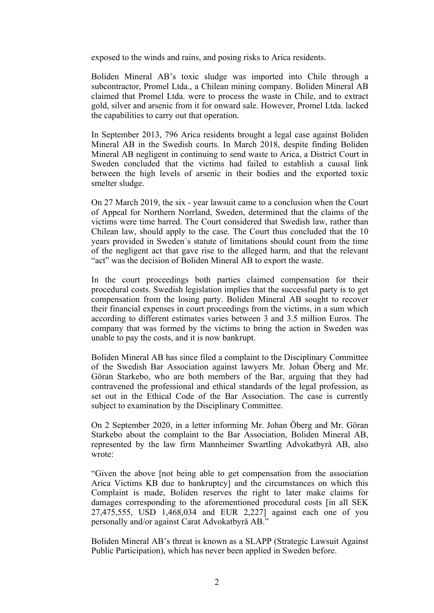exposed to the winds and rains, and posing risks to Arica residents.

Boliden Mineral AB'<sup>s</sup> toxic sludge was imported into Chile through <sup>a</sup> subcontractor, Promel Ltda., <sup>a</sup> Chilean mining company. Boliden Mineral AB claimed that Promel Ltda. were to process the waste in Chile, and to extract gold, silver and arsenic from it for onward sale. However, Promel Ltda. lacked the capabilities to carry out that operation.

In September 2013, 796 Arica residents brought <sup>a</sup> legal case against Boliden Mineral AB in the Swedish courts. In March 2018, despite finding Boliden Mineral AB negligent in continuing to send waste to Arica, <sup>a</sup> District Court in Sweden concluded that the victims had failed to establish <sup>a</sup> causal link between the high levels of arsenic in their bodies and the exported toxic smelter sludge.

On 27 March 2019, the six - year lawsuit came to <sup>a</sup> conclusion when the Court of Appeal for Northern Norrland, Sweden, determined that the claims of the victims were time barred. The Court considered that Swedish law, rather than Chilean law, should apply to the case. The Court thus concluded that the 10 years provided in Sweden´s statute of limitations should count from the time of the negligent act that gave rise to the alleged harm, and that the relevant "act" was the decision of Boliden Mineral AB to expor<sup>t</sup> the waste.

In the court proceedings both parties claimed compensation for their procedural costs. Swedish legislation implies that the successful party is to ge<sup>t</sup> compensation from the losing party. Boliden Mineral AB sought to recover their financial expenses in court proceedings from the victims, in <sup>a</sup> sum which according to different estimates varies between 3 and 3.5 million Euros. The company that was formed by the victims to bring the action in Sweden was unable to pay the costs, and it is now bankrupt.

Boliden Mineral AB has since filed <sup>a</sup> complaint to the Disciplinary Committee of the Swedish Bar Association against lawyers Mr. Johan Öberg and Mr. Göran Starkebo, who are both members of the Bar, arguing that they had contravened the professional and ethical standards of the legal profession, as set out in the Ethical Code of the Bar Association. The case is currently subject to examination by the Disciplinary Committee.

On <sup>2</sup> September 2020, in <sup>a</sup> letter informing Mr. Johan Öberg and Mr. Göran Starkebo about the complaint to the Bar Association, Boliden Mineral AB, represented by the law firm Mannheimer Swartling Advokatbyrå AB, also wrote:

"Given the above [not being able to ge<sup>t</sup> compensation from the association Arica Victims KB due to bankruptcy] and the circumstances on which this Complaint is made, Boliden reserves the right to later make claims for damages corresponding to the aforementioned procedural costs [in all SEK 27,475,555, USD 1,468,034 and EUR 2,227] against each one of you personally and/or against Carat Advokatbyrå AB."

Boliden Mineral AB'<sup>s</sup> threat is known as <sup>a</sup> SLAPP (Strategic Lawsuit Against Public Participation), which has never been applied in Sweden before.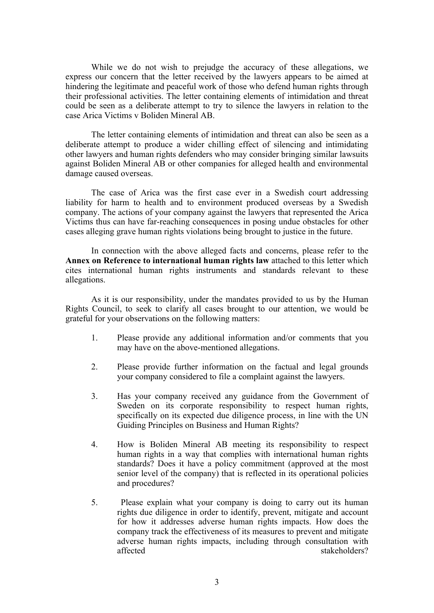While we do not wish to prejudge the accuracy of these allegations, we express our concern that the letter received by the lawyers appears to be aimed at hindering the legitimate and peaceful work of those who defend human rights through their professional activities. The letter containing elements of intimidation and threat could be seen as <sup>a</sup> deliberate attempt to try to silence the lawyers in relation to the case Arica Victims <sup>v</sup> Boliden Mineral AB.

The letter containing elements of intimidation and threat can also be seen as <sup>a</sup> deliberate attempt to produce <sup>a</sup> wider chilling effect of silencing and intimidating other lawyers and human rights defenders who may consider bringing similar lawsuits against Boliden Mineral AB or other companies for alleged health and environmental damage caused overseas.

The case of Arica was the first case ever in <sup>a</sup> Swedish court addressing liability for harm to health and to environment produced overseas by <sup>a</sup> Swedish company. The actions of your company against the lawyers that represented the Arica Victims thus can have far-reaching consequences in posing undue obstacles for other cases alleging grave human rights violations being brought to justice in the future.

In connection with the above alleged facts and concerns, please refer to the **Annex on Reference to international human rights law** attached to this letter which cites international human rights instruments and standards relevant to these allegations.

As it is our responsibility, under the mandates provided to us by the Human Rights Council, to seek to clarify all cases brought to our attention, we would be grateful for your observations on the following matters:

- 1. Please provide any additional information and/or comments that you may have on the above-mentioned allegations.
- 2. Please provide further information on the factual and legal grounds your company considered to file <sup>a</sup> complaint against the lawyers.
- 3. Has your company received any guidance from the Government of Sweden on its corporate responsibility to respec<sup>t</sup> human rights, specifically on its expected due diligence process, in line with the UN Guiding Principles on Business and Human Rights?
- 4. How is Boliden Mineral AB meeting its responsibility to respec<sup>t</sup> human rights in <sup>a</sup> way that complies with international human rights standards? Does it have <sup>a</sup> policy commitment (approved at the most senior level of the company) that is reflected in its operational policies and procedures?
- 5. Please explain what your company is doing to carry out its human rights due diligence in order to identify, prevent, mitigate and account for how it addresses adverse human rights impacts. How does the company track the effectiveness of its measures to preven<sup>t</sup> and mitigate adverse human rights impacts, including through consultation with affected stakeholders?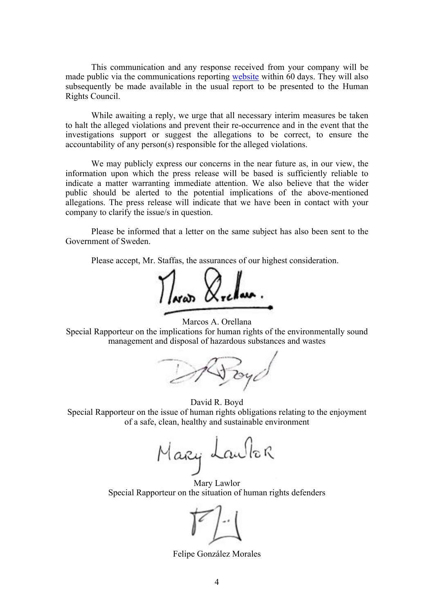This communication and any response received from your company will be made public via the communications reporting [website](https://spcommreports.ohchr.org/) within 60 days. They will also subsequently be made available in the usual repor<sup>t</sup> to be presented to the Human Rights Council.

While awaiting <sup>a</sup> reply, we urge that all necessary interim measures be taken to halt the alleged violations and preven<sup>t</sup> their re-occurrence and in the event that the investigations suppor<sup>t</sup> or sugges<sup>t</sup> the allegations to be correct, to ensure the accountability of any person(s) responsible for the alleged violations.

We may publicly express our concerns in the near future as, in our view, the information upon which the press release will be based is sufficiently reliable to indicate <sup>a</sup> matter warranting immediate attention. We also believe that the wider public should be alerted to the potential implications of the above-mentioned allegations. The press release will indicate that we have been in contact with your company to clarify the issue/s in question.

Please be informed that <sup>a</sup> letter on the same subject has also been sent to the Government of Sweden.

Please accept, Mr. Staffas, the assurances of our highest consideration.

Marcos A. Orellana

Special Rapporteur on the implications for human rights of the environmentally sound managemen<sup>t</sup> and disposal of hazardous substances and wastes

Doy

David R. Boyd Special Rapporteur on the issue of human rights obligations relating to the enjoyment of <sup>a</sup> safe, clean, healthy and sustainable environment

Mary Laulor

Mary Lawlor Special Rapporteur on the situation of human rights defenders



Felipe González Morales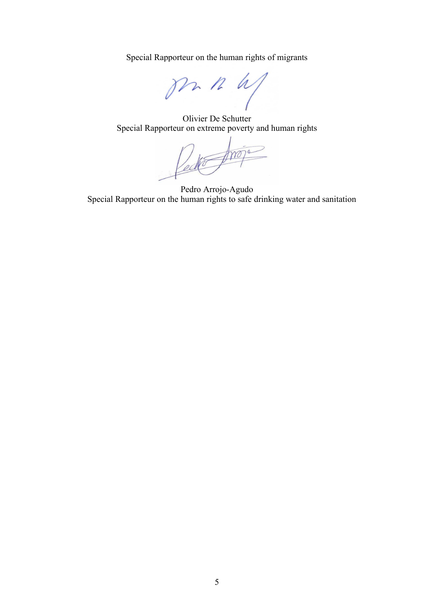Special Rapporteur on the human rights of migrants



Olivier De Schutter Special Rapporteur on extreme poverty and human rights

Ved

Pedro Arrojo-Agudo Special Rapporteur on the human rights to safe drinking water and sanitation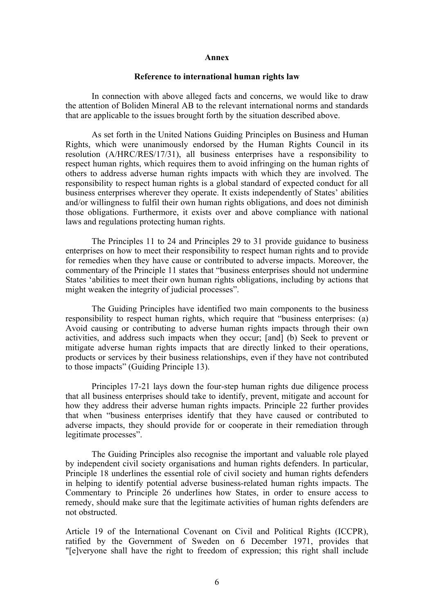## **Annex**

## **Reference to international human rights law**

In connection with above alleged facts and concerns, we would like to draw the attention of Boliden Mineral AB to the relevant international norms and standards that are applicable to the issues brought forth by the situation described above.

As set forth in the United Nations Guiding Principles on Business and Human Rights, which were unanimously endorsed by the Human Rights Council in its resolution (A/HRC/RES/17/31), all business enterprises have <sup>a</sup> responsibility to respec<sup>t</sup> human rights, which requires them to avoid infringing on the human rights of others to address adverse human rights impacts with which they are involved. The responsibility to respec<sup>t</sup> human rights is <sup>a</sup> global standard of expected conduct for all business enterprises wherever they operate. It exists independently of States' abilities and/or willingness to fulfil their own human rights obligations, and does not diminish those obligations. Furthermore, it exists over and above compliance with national laws and regulations protecting human rights.

The Principles 11 to 24 and Principles 29 to 31 provide guidance to business enterprises on how to meet their responsibility to respec<sup>t</sup> human rights and to provide for remedies when they have cause or contributed to adverse impacts. Moreover, the commentary of the Principle 11 states that "business enterprises should not undermine States 'abilities to meet their own human rights obligations, including by actions that might weaken the integrity of judicial processes".

The Guiding Principles have identified two main components to the business responsibility to respec<sup>t</sup> human rights, which require that "business enterprises: (a) Avoid causing or contributing to adverse human rights impacts through their own activities, and address such impacts when they occur; [and] (b) Seek to preven<sup>t</sup> or mitigate adverse human rights impacts that are directly linked to their operations, products or services by their business relationships, even if they have not contributed to those impacts" (Guiding Principle 13).

Principles 17-21 lays down the four-step human rights due diligence process that all business enterprises should take to identify, prevent, mitigate and account for how they address their adverse human rights impacts. Principle 22 further provides that when "business enterprises identify that they have caused or contributed to adverse impacts, they should provide for or cooperate in their remediation through legitimate processes".

The Guiding Principles also recognise the important and valuable role played by independent civil society organisations and human rights defenders. In particular, Principle 18 underlines the essential role of civil society and human rights defenders in helping to identify potential adverse business-related human rights impacts. The Commentary to Principle 26 underlines how States, in order to ensure access to remedy, should make sure that the legitimate activities of human rights defenders are not obstructed.

Article 19 of the International Covenant on Civil and Political Rights (ICCPR), ratified by the Government of Sweden on 6 December 1971, provides that "[e]veryone shall have the right to freedom of expression; this right shall include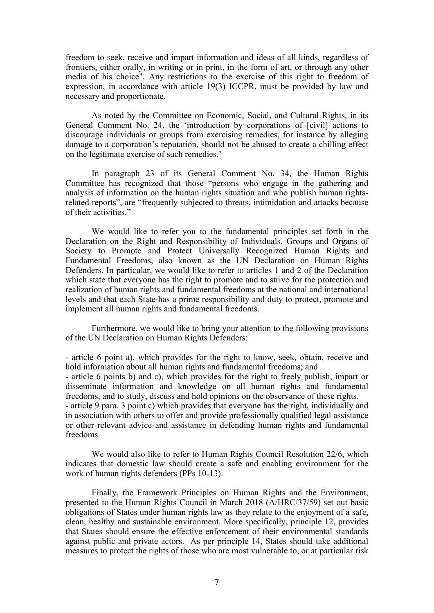freedom to seek, receive and impart information and ideas of all kinds, regardless of frontiers, either orally, in writing or in print, in the form of art, or through any other media of his choice". Any restrictions to the exercise of this right to freedom of expression, in accordance with article 19(3) ICCPR, must be provided by law and necessary and proportionate.

As noted by the Committee on Economic, Social, and Cultural Rights, in its General Comment No. 24, the 'introduction by corporations of [civil] actions to discourage individuals or groups from exercising remedies, for instance by alleging damage to <sup>a</sup> corporation'<sup>s</sup> reputation, should not be abused to create <sup>a</sup> chilling effect on the legitimate exercise of such remedies.'

In paragraph 23 of its General Comment No. 34, the Human Rights Committee has recognized that those "persons who engage in the gathering and analysis of information on the human rights situation and who publish human rightsrelated reports", are "frequently subjected to threats, intimidation and attacks because of their activities."

We would like to refer you to the fundamental principles set forth in the Declaration on the Right and Responsibility of Individuals, Groups and Organs of Society to Promote and Protect Universally Recognized Human Rights and Fundamental Freedoms, also known as the UN Declaration on Human Rights Defenders. In particular, we would like to refer to articles 1 and 2 of the Declaration which state that everyone has the right to promote and to strive for the protection and realization of human rights and fundamental freedoms at the national and international levels and that each State has <sup>a</sup> prime responsibility and duty to protect, promote and implement all human rights and fundamental freedoms.

Furthermore, we would like to bring your attention to the following provisions of the UN Declaration on Human Rights Defenders:

- article 6 point a), which provides for the right to know, seek, obtain, receive and hold information about all human rights and fundamental freedoms; and

- article 6 points b) and c), which provides for the right to freely publish, impart or disseminate information and knowledge on all human rights and fundamental freedoms, and to study, discuss and hold opinions on the observance of these rights.

- article 9 para. 3 point c) which provides that everyone has the right, individually and in association with others to offer and provide professionally qualified legal assistance or other relevant advice and assistance in defending human rights and fundamental freedoms.

We would also like to refer to Human Rights Council Resolution 22/6, which indicates that domestic law should create <sup>a</sup> safe and enabling environment for the work of human rights defenders (PPs 10-13).

Finally, the Framework Principles on Human Rights and the Environment, presented to the Human Rights Council in March 2018 (A/HRC/37/59) set out basic obligations of States under human rights law as they relate to the enjoyment of <sup>a</sup> safe, clean, healthy and sustainable environment. More specifically, principle 12, provides that States should ensure the effective enforcement of their environmental standards against public and private actors. As per principle 14, States should take additional measures to protect the rights of those who are most vulnerable to, or at particular risk